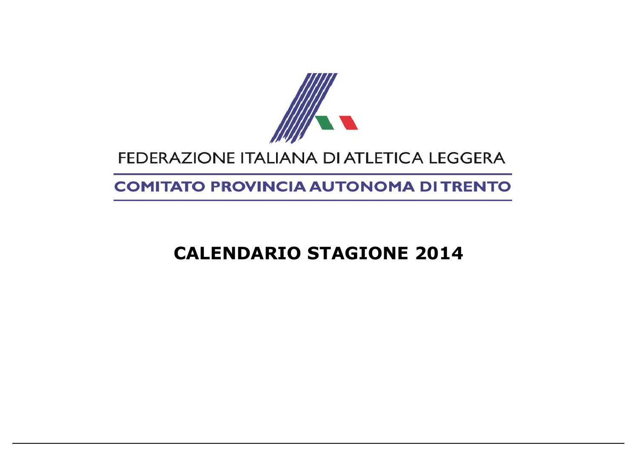

## FEDERAZIONE ITALIANA DI ATLETICA LEGGERA

## **COMITATO PROVINCIA AUTONOMA DI TRENTO**

## **CALENDARIO STAGIONE 2014**

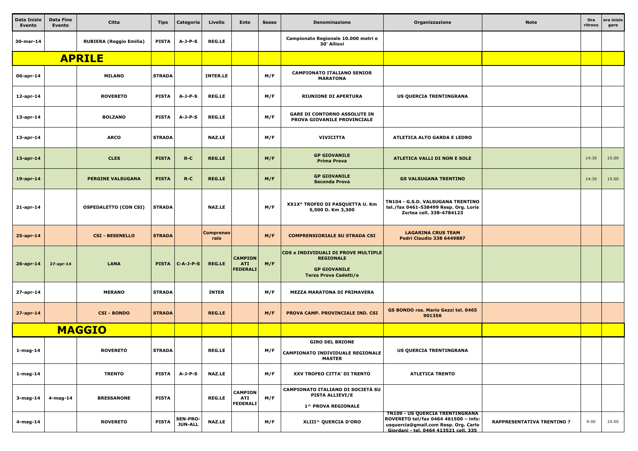| <b>Data Inizio</b><br><b>Evento</b> | <b>Data Fine</b><br>Evento | Citta                          | <b>Tipo</b>   | Categoria                         | Livello                  | <b>Ente</b>                                     | <b>Sesso</b> | Denominazione                                                                                           | Organizzazione                                                                                                                                                  | <b>Note</b>                      | Ora<br>ritrovo | ora inizio<br>gare |
|-------------------------------------|----------------------------|--------------------------------|---------------|-----------------------------------|--------------------------|-------------------------------------------------|--------------|---------------------------------------------------------------------------------------------------------|-----------------------------------------------------------------------------------------------------------------------------------------------------------------|----------------------------------|----------------|--------------------|
| 30-mar-14                           |                            | <b>RUBIERA (Reggio Emilia)</b> | <b>PISTA</b>  | $A-J-P-S$                         | <b>REG.LE</b>            |                                                 |              | Campionato Regionale 10.000 metri e<br>30' Allievi                                                      |                                                                                                                                                                 |                                  |                |                    |
|                                     |                            | <b>APRILE</b>                  |               |                                   |                          |                                                 |              |                                                                                                         |                                                                                                                                                                 |                                  |                |                    |
| 06-apr-14                           |                            | <b>MILANO</b>                  | <b>STRADA</b> |                                   | <b>INTER.LE</b>          |                                                 | M/F          | <b>CAMPIONATO ITALIANO SENIOR</b><br><b>MARATONA</b>                                                    |                                                                                                                                                                 |                                  |                |                    |
| 12-apr-14                           |                            | <b>ROVERETO</b>                | <b>PISTA</b>  | $A-J-P-S$                         | <b>REG.LE</b>            |                                                 | M/F          | <b>RIUNIONE DI APERTURA</b>                                                                             | US QUERCIA TRENTINGRANA                                                                                                                                         |                                  |                |                    |
| 13-apr-14                           |                            | <b>BOLZANO</b>                 | <b>PISTA</b>  | $A-J-P-S$                         | <b>REG.LE</b>            |                                                 | M/F          | <b>GARE DI CONTORNO ASSOLUTE IN</b><br>PROVA GIOVANILE PROVINCIALE                                      |                                                                                                                                                                 |                                  |                |                    |
| 13-apr-14                           |                            | <b>ARCO</b>                    | <b>STRADA</b> |                                   | <b>NAZ.LE</b>            |                                                 | M/F          | <b>VIVICITTA</b>                                                                                        | <b>ATLETICA ALTO GARDA E LEDRO</b>                                                                                                                              |                                  |                |                    |
| $13$ -apr-14                        |                            | <b>CLES</b>                    | <b>PISTA</b>  | $R-C$                             | <b>REG.LE</b>            |                                                 | M/F          | <b>GP GIOVANILE</b><br><b>Prima Prova</b>                                                               | <b>ATLETICA VALLI DI NON E SOLE</b>                                                                                                                             |                                  | 14:30          | 15:00              |
| 19-apr-14                           |                            | <b>PERGINE VALSUGANA</b>       | <b>PISTA</b>  | $R-C$                             | <b>REG.LE</b>            |                                                 | M/F          | <b>GP GIOVANILE</b><br><b>Seconda Prova</b>                                                             | <b>GS VALSUGANA TRENTINO</b>                                                                                                                                    |                                  | 14:30          | 15:00              |
| 21-apr-14                           |                            | <b>OSPEDALETTO (CON CSI)</b>   | <b>STRADA</b> |                                   | <b>NAZ.LE</b>            |                                                 | M/F          | XX1X° TROFEO DI PASQUETTA U. Km<br>5,500 D. Km 3,300                                                    | TN104 - G.S.D. VALSUGANA TRENTINO<br>tel./fax 0461-538499 Resp. Org. Loris<br>Zortea cell. 338-4784123                                                          |                                  |                |                    |
| 25-apr-14                           |                            | <b>CSI - BESENELLO</b>         | <b>STRADA</b> |                                   | <b>Comprenso</b><br>rale |                                                 | M/F          | <b>COMPRENSIORIALE SU STRADA CSI</b>                                                                    | <b>LAGARINA CRUS TEAM</b><br><b>Pedri Claudio 338 6449887</b>                                                                                                   |                                  |                |                    |
| $26$ -apr-14                        | $27$ -apr-14               | <b>LANA</b>                    |               | PISTA   C-A-J-P-S                 | <b>REG.LE</b>            | <b>CAMPION</b><br><b>ATI</b><br><b>FEDERALI</b> | M/F          | CDS e INDIVIDUALI DI PROVE MULTIPLE<br><b>REGIONALE</b><br><b>GP GIOVANILE</b><br>Terza Prova Cadetti/e |                                                                                                                                                                 |                                  |                |                    |
| 27-apr-14                           |                            | <b>MERANO</b>                  | <b>STRADA</b> |                                   | <b>INTER</b>             |                                                 | M/F          | <b>MEZZA MARATONA DI PRIMAVERA</b>                                                                      |                                                                                                                                                                 |                                  |                |                    |
| 27-apr-14                           |                            | <b>CSI - BONDO</b>             | <b>STRADA</b> |                                   | <b>REG.LE</b>            |                                                 | M/F          | PROVA CAMP. PROVINCIALE IND. CSI                                                                        | GS BONDO res. Mario Gezzi tel. 0465<br>901356                                                                                                                   |                                  |                |                    |
|                                     |                            | <b>MAGGIO</b>                  |               |                                   |                          |                                                 |              |                                                                                                         |                                                                                                                                                                 |                                  |                |                    |
| 1-mag-14                            |                            | <b>ROVERETO</b>                | <b>STRADA</b> |                                   | <b>REG.LE</b>            |                                                 | M/F          | <b>GIRO DEL BRIONE</b><br><b>CAMPIONATO INDIVIDUALE REGIONALE</b><br><b>MASTER</b>                      | US QUERCIA TRENTINGRANA                                                                                                                                         |                                  |                |                    |
| 1-mag-14                            |                            | <b>TRENTO</b>                  | <b>PISTA</b>  | $A-J-P-S$                         | <b>NAZ.LE</b>            |                                                 | M/F          | XXV TROFEO CITTA' DI TRENTO                                                                             | <b>ATLETICA TRENTO</b>                                                                                                                                          |                                  |                |                    |
| 3-mag-14                            | 4-mag-14                   | <b>BRESSANONE</b>              | <b>PISTA</b>  |                                   | <b>REG.LE</b>            | <b>CAMPION</b><br><b>ATI</b><br><b>FEDERALI</b> | M/F          | CAMPIONATO ITALIANO DI SOCIETÀ SU<br><b>PISTA ALLIEVI/E</b><br>1^ PROVA REGIONALE                       |                                                                                                                                                                 |                                  |                |                    |
| 4-mag-14                            |                            | <b>ROVERETO</b>                | <b>PISTA</b>  | <b>SEN-PRO-</b><br><b>JUN-ALL</b> | <b>NAZ.LE</b>            |                                                 | M/F          | XLIII^ QUERCIA D'ORO                                                                                    | <b>TN109 - US QUERCIA TRENTINGRANA</b><br>ROVERETO tel/fax 0464 461500 - info:<br>usquercia@gmail.com Resp. Org. Carlo<br>Giordani - tel. 0464 413521 cell. 335 | <b>RAPPRESENTATIVA TRENTINO?</b> | 9:00           | 10:00              |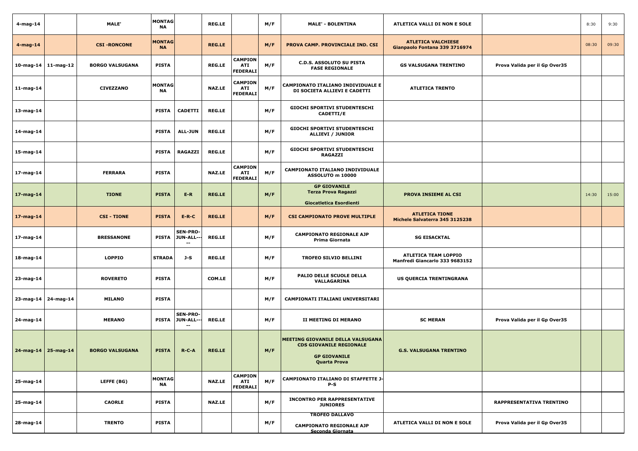| 4-mag-14                  | MALE'                  | <b>MONTAG</b><br><b>NA</b> |                                       | <b>REG.LE</b> |                                                 | M/F | <b>MALE' - BOLENTINA</b>                                                                                          | ATLETICA VALLI DI NON E SOLE                                  |                               | 8:30  | 9:30  |
|---------------------------|------------------------|----------------------------|---------------------------------------|---------------|-------------------------------------------------|-----|-------------------------------------------------------------------------------------------------------------------|---------------------------------------------------------------|-------------------------------|-------|-------|
| $4 - mag - 14$            | <b>CSI-RONCONE</b>     | <b>MONTAG</b><br><b>NA</b> |                                       | <b>REG.LE</b> |                                                 | M/F | PROVA CAMP. PROVINCIALE IND. CSI                                                                                  | <b>ATLETICA VALCHIESE</b><br>Gianpaolo Fontana 339 3716974    |                               | 08:30 | 09:30 |
| $10$ -mag-14 $11$ -mag-12 | <b>BORGO VALSUGANA</b> | <b>PISTA</b>               |                                       | <b>REG.LE</b> | <b>CAMPION</b><br><b>ATI</b><br><b>FEDERALI</b> | M/F | <b>C.D.S. ASSOLUTO SU PISTA</b><br><b>FASE REGIONALE</b>                                                          | <b>GS VALSUGANA TRENTINO</b>                                  | Prova Valida per il Gp Over35 |       |       |
| $11$ -mag-14              | <b>CIVEZZANO</b>       | <b>MONTAG</b><br><b>NA</b> |                                       | <b>NAZ.LE</b> | <b>CAMPION</b><br><b>ATI</b><br>FEDERALI        | M/F | <b>CAMPIONATO ITALIANO INDIVIDUALE E</b><br>DI SOCIETA ALLIEVI E CADETTI                                          | <b>ATLETICA TRENTO</b>                                        |                               |       |       |
| 13-mag-14                 |                        | <b>PISTA</b>               | <b>CADETTI</b>                        | <b>REG.LE</b> |                                                 | M/F | <b>GIOCHI SPORTIVI STUDENTESCHI</b><br><b>CADETTI/E</b>                                                           |                                                               |                               |       |       |
| 14-mag-14                 |                        | <b>PISTA</b>               | ALL-JUN                               | <b>REG.LE</b> |                                                 | M/F | <b>GIOCHI SPORTIVI STUDENTESCHI</b><br>ALLIEVI / JUNIOR                                                           |                                                               |                               |       |       |
| 15-mag-14                 |                        | <b>PISTA</b>               | <b>RAGAZZI</b>                        | <b>REG.LE</b> |                                                 | M/F | <b>GIOCHI SPORTIVI STUDENTESCHI</b><br><b>RAGAZZI</b>                                                             |                                                               |                               |       |       |
| 17-mag-14                 | <b>FERRARA</b>         | <b>PISTA</b>               |                                       | <b>NAZ.LE</b> | <b>CAMPION</b><br><b>ATI</b><br>FEDERALI        | M/F | <b>CAMPIONATO ITALIANO INDIVIDUALE</b><br>ASSOLUTO m 10000                                                        |                                                               |                               |       |       |
| 17-mag-14                 | <b>TIONE</b>           | <b>PISTA</b>               | $E-R$                                 | <b>REG.LE</b> |                                                 | M/F | <b>GP GIOVANILE</b><br><b>Terza Prova Ragazzi</b><br>Giocatletica Esordienti                                      | <b>PROVA INSIEME AL CSI</b>                                   |                               | 14:30 | 15:00 |
| $17$ -mag-14              | <b>CSI - TIONE</b>     | <b>PISTA</b>               | $E-R-C$                               | <b>REG.LE</b> |                                                 | M/F | <b>CSI CAMPIONATO PROVE MULTIPLE</b>                                                                              | <b>ATLETICA TIONE</b><br>Michele Salvaterra 345 3125238       |                               |       |       |
| 17-mag-14                 | <b>BRESSANONE</b>      | <b>PISTA</b>               | <b>SEN-PRO-</b><br>JUN-ALL--<br>$- -$ | <b>REG.LE</b> |                                                 | M/F | <b>CAMPIONATO REGIONALE AJP</b><br>Prima Giornata                                                                 | <b>SG EISACKTAL</b>                                           |                               |       |       |
| 18-mag-14                 | <b>LOPPIO</b>          | <b>STRADA</b>              | J-S                                   | <b>REG.LE</b> |                                                 | M/F | <b>TROFEO SILVIO BELLINI</b>                                                                                      | <b>ATLETICA TEAM LOPPIO</b><br>Manfredi Giancarlo 333 9683152 |                               |       |       |
| 23-mag-14                 | <b>ROVERETO</b>        | <b>PISTA</b>               |                                       | <b>COM.LE</b> |                                                 | M/F | PALIO DELLE SCUOLE DELLA<br>VALLAGARINA                                                                           | US QUERCIA TRENTINGRANA                                       |                               |       |       |
| 23-mag-14 24-mag-14       | <b>MILANO</b>          | <b>PISTA</b>               |                                       |               |                                                 | M/F | CAMPIONATI ITALIANI UNIVERSITARI                                                                                  |                                                               |                               |       |       |
| 24-mag-14                 | <b>MERANO</b>          | <b>PISTA</b>               | <b>SEN-PRO-</b><br>JUN-ALL---<br>$-$  | <b>REG.LE</b> |                                                 | M/F | II MEETING DI MERANO                                                                                              | <b>SC MERAN</b>                                               | Prova Valida per il Gp Over35 |       |       |
| $24$ -mag-14 25-mag-14    | <b>BORGO VALSUGANA</b> | <b>PISTA</b>               | $R-C-A$                               | <b>REG.LE</b> |                                                 | M/F | MEETING GIOVANILE DELLA VALSUGANA<br><b>CDS GIOVANILE REGIONALE</b><br><b>GP GIOVANILE</b><br><b>Quarta Prova</b> | <b>G.S. VALSUGANA TRENTINO</b>                                |                               |       |       |
| 25-mag-14                 | LEFFE (BG)             | <b>MONTAG</b><br><b>NA</b> |                                       | <b>NAZ.LE</b> | <b>CAMPION</b><br><b>ATI</b><br><b>FEDERALI</b> | M/F | CAMPIONATO ITALIANO DI STAFFETTE J-<br>$P-S$                                                                      |                                                               |                               |       |       |
| 25-mag-14                 | <b>CAORLE</b>          | <b>PISTA</b>               |                                       | <b>NAZ.LE</b> |                                                 | M/F | <b>INCONTRO PER RAPPRESENTATIVE</b><br><b>JUNIORES</b>                                                            |                                                               | RAPPRESENTATIVA TRENTINO      |       |       |
| 28-mag-14                 | <b>TRENTO</b>          | <b>PISTA</b>               |                                       |               |                                                 | M/F | <b>TROFEO DALLAVO</b><br><b>CAMPIONATO REGIONALE AJP</b><br>Seconda Giornata                                      | ATLETICA VALLI DI NON E SOLE                                  | Prova Valida per il Gp Over35 |       |       |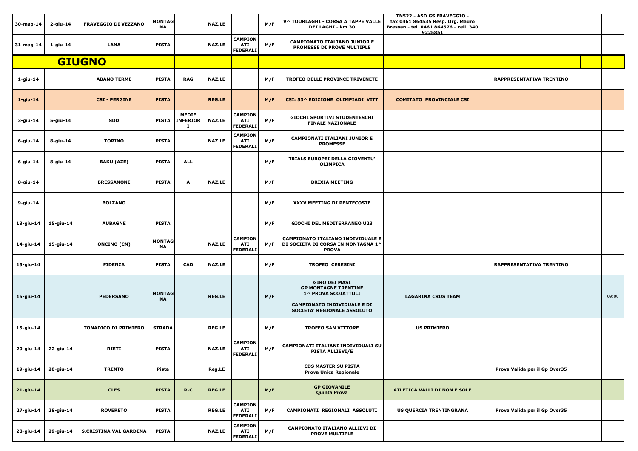| 30-mag-14           | 2-giu-14       | <b>FRAVEGGIO DI VEZZANO</b>   | <b>MONTAG</b><br>NA        |                                       | <b>NAZ.LE</b> |                                                 | M/F | V^ TOURLAGHI - CORSA A TAPPE VALLE<br><b>DEI LAGHI - km.30</b>                                                                                  | TN522 - ASD GS FRAVEGGIO -<br>fax 0461 864535 Resp. Org. Mauro<br>Bressan - tel. 0461 864576 - cell. 340<br>9225851 |                                 |       |
|---------------------|----------------|-------------------------------|----------------------------|---------------------------------------|---------------|-------------------------------------------------|-----|-------------------------------------------------------------------------------------------------------------------------------------------------|---------------------------------------------------------------------------------------------------------------------|---------------------------------|-------|
| 31-mag-14           | $1$ -giu- $14$ | <b>LANA</b>                   | <b>PISTA</b>               |                                       | <b>NAZ.LE</b> | <b>CAMPION</b><br>ATI<br><b>FEDERALI</b>        | M/F | <b>CAMPIONATO ITALIANO JUNIOR E</b><br>PROMESSE DI PROVE MULTIPLE                                                                               |                                                                                                                     |                                 |       |
|                     |                | <b>GIUGNO</b>                 |                            |                                       |               |                                                 |     |                                                                                                                                                 |                                                                                                                     |                                 |       |
| 1-giu-14            |                | <b>ABANO TERME</b>            | <b>PISTA</b>               | <b>RAG</b>                            | <b>NAZ.LE</b> |                                                 | M/F | <b>TROFEO DELLE PROVINCE TRIVENETE</b>                                                                                                          |                                                                                                                     | <b>RAPPRESENTATIVA TRENTINO</b> |       |
| $1$ -giu-14         |                | <b>CSI - PERGINE</b>          | <b>PISTA</b>               |                                       | <b>REG.LE</b> |                                                 | M/F | CSI: 53^ EDIZIONE OLIMPIADI VITT                                                                                                                | <b>COMITATO PROVINCIALE CSI</b>                                                                                     |                                 |       |
| 3-giu-14            | 5-giu-14       | <b>SDD</b>                    | <b>PISTA</b>               | <b>MEDIE</b><br><b>INFERIOR</b><br>и. | <b>NAZ.LE</b> | <b>CAMPION</b><br>ATI<br>FEDERALI               | M/F | <b>GIOCHI SPORTIVI STUDENTESCHI</b><br><b>FINALE NAZIONALE</b>                                                                                  |                                                                                                                     |                                 |       |
| 6-giu-14            | 8-giu-14       | <b>TORINO</b>                 | <b>PISTA</b>               |                                       | <b>NAZ.LE</b> | <b>CAMPION</b><br><b>ATI</b><br><b>FEDERALI</b> | M/F | <b>CAMPIONATI ITALIANI JUNIOR E</b><br><b>PROMESSE</b>                                                                                          |                                                                                                                     |                                 |       |
| 6-giu-14            | 8-giu-14       | <b>BAKU (AZE)</b>             | <b>PISTA</b>               | <b>ALL</b>                            |               |                                                 | M/F | TRIALS EUROPEI DELLA GIOVENTU'<br><b>OLIMPICA</b>                                                                                               |                                                                                                                     |                                 |       |
| 8-giu-14            |                | <b>BRESSANONE</b>             | <b>PISTA</b>               | $\mathbf{A}$                          | <b>NAZ.LE</b> |                                                 | M/F | <b>BRIXIA MEETING</b>                                                                                                                           |                                                                                                                     |                                 |       |
| 9-giu-14            |                | <b>BOLZANO</b>                |                            |                                       |               |                                                 | M/F | <b>XXXV MEETING DI PENTECOSTE</b>                                                                                                               |                                                                                                                     |                                 |       |
| 13-giu-14           | 15-giu-14      | <b>AUBAGNE</b>                | <b>PISTA</b>               |                                       |               |                                                 | M/F | <b>GIOCHI DEL MEDITERRANEO U23</b>                                                                                                              |                                                                                                                     |                                 |       |
| 14-giu-14 15-giu-14 |                | <b>ONCINO (CN)</b>            | <b>MONTAG</b><br><b>NA</b> |                                       | <b>NAZ.LE</b> | <b>CAMPION</b><br>ATI<br>FEDERALI               | M/F | <b>CAMPIONATO ITALIANO INDIVIDUALE E</b><br>DI SOCIETA DI CORSA IN MONTAGNA 1^<br><b>PROVA</b>                                                  |                                                                                                                     |                                 |       |
| 15-giu-14           |                | <b>FIDENZA</b>                | <b>PISTA</b>               | <b>CAD</b>                            | <b>NAZ.LE</b> |                                                 | M/F | <b>TROFEO CERESINI</b>                                                                                                                          |                                                                                                                     | RAPPRESENTATIVA TRENTINO        |       |
| 15-giu-14           |                | <b>PEDERSANO</b>              | <b>MONTAG</b><br><b>NA</b> |                                       | <b>REG.LE</b> |                                                 | M/F | <b>GIRO DEI MASI</b><br><b>GP MONTAGNE TRENTINE</b><br>1^ PROVA SCOIATTOLI<br><b>CAMPIONATO INDIVIDUALE E DI</b><br>SOCIETA' REGIONALE ASSOLUTO | <b>LAGARINA CRUS TEAM</b>                                                                                           |                                 | 09:00 |
| 15-giu-14           |                | <b>TONADICO DI PRIMIERO</b>   | <b>STRADA</b>              |                                       | <b>REG.LE</b> |                                                 | M/F | <b>TROFEO SAN VITTORE</b>                                                                                                                       | <b>US PRIMIERO</b>                                                                                                  |                                 |       |
| 20-giu-14           | 22-giu-14      | <b>RIETI</b>                  | <b>PISTA</b>               |                                       | <b>NAZ.LE</b> | <b>CAMPION</b><br><b>ATI</b><br>FEDERALI        | M/F | CAMPIONATI ITALIANI INDIVIDUALI SU<br><b>PISTA ALLIEVI/E</b>                                                                                    |                                                                                                                     |                                 |       |
| 19-giu-14           | 20-giu-14      | <b>TRENTO</b>                 | Pista                      |                                       | <b>Reg.LE</b> |                                                 |     | <b>CDS MASTER SU PISTA</b><br><b>Prova Unica Regionale</b>                                                                                      |                                                                                                                     | Prova Valida per il Gp Over35   |       |
| 21-giu-14           |                | <b>CLES</b>                   | <b>PISTA</b>               | $R-C$                                 | <b>REG.LE</b> |                                                 | M/F | <b>GP GIOVANILE</b><br><b>Quinta Prova</b>                                                                                                      | <b>ATLETICA VALLI DI NON E SOLE</b>                                                                                 |                                 |       |
| 27-giu-14           | 28-giu-14      | <b>ROVERETO</b>               | <b>PISTA</b>               |                                       | <b>REG.LE</b> | <b>CAMPION</b><br>ATI<br>FEDERALI               | M/F | CAMPIONATI REGIONALI ASSOLUTI                                                                                                                   | US QUERCIA TRENTINGRANA                                                                                             | Prova Valida per il Gp Over35   |       |
| 28-giu-14           | 29-giu-14      | <b>S.CRISTINA VAL GARDENA</b> | <b>PISTA</b>               |                                       | <b>NAZ.LE</b> | <b>CAMPION</b><br><b>ATI</b><br><b>FEDERALI</b> | M/F | CAMPIONATO ITALIANO ALLIEVI DI<br><b>PROVE MULTIPLE</b>                                                                                         |                                                                                                                     |                                 |       |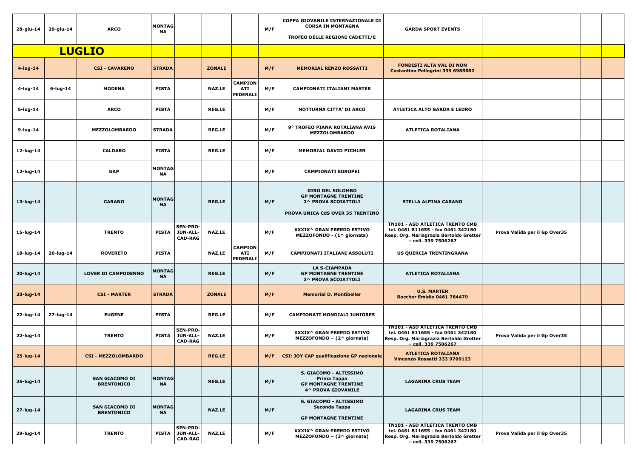| 28-giu-14    | 29-giu-14   | <b>ARCO</b>                                | <b>MONTAG</b><br><b>NA</b> |                                               |               |                                                 | M/F | COPPA GIOVANILE INTERNAZIONALE DI<br><b>CORSA IN MONTAGNA</b><br>TROFEO DELLE REGIONI CADETTI/E                   | <b>GARDA SPORT EVENTS</b>                                                                                                                      |                               |  |
|--------------|-------------|--------------------------------------------|----------------------------|-----------------------------------------------|---------------|-------------------------------------------------|-----|-------------------------------------------------------------------------------------------------------------------|------------------------------------------------------------------------------------------------------------------------------------------------|-------------------------------|--|
|              |             | <b>LUGLIO</b>                              |                            |                                               |               |                                                 |     |                                                                                                                   |                                                                                                                                                |                               |  |
| 4-lug-14     |             | <b>CSI - CAVARENO</b>                      | <b>STRADA</b>              |                                               | <b>ZONALE</b> |                                                 | M/F | <b>MEMORIAL RENZO ROSSATTI</b>                                                                                    | <b>FONDISTI ALTA VAL DI NON</b><br>Costantino Pellegrini 339 6985682                                                                           |                               |  |
| 4-lug-14     | $6$ -lug-14 | <b>MODENA</b>                              | <b>PISTA</b>               |                                               | <b>NAZ.LE</b> | <b>CAMPION</b><br><b>ATI</b><br><b>FEDERALI</b> | M/F | <b>CAMPIONATI ITALIANI MASTER</b>                                                                                 |                                                                                                                                                |                               |  |
| 5-lug-14     |             | <b>ARCO</b>                                | <b>PISTA</b>               |                                               | <b>REG.LE</b> |                                                 | M/F | <b>NOTTURNA CITTA' DI ARCO</b>                                                                                    | <b>ATLETICA ALTO GARDA E LEDRO</b>                                                                                                             |                               |  |
| 9-lug-14     |             | <b>MEZZOLOMBARDO</b>                       | <b>STRADA</b>              |                                               | <b>REG.LE</b> |                                                 | M/F | 9° TROFEO PIANA ROTALIANA AVIS<br><b>MEZZOLOMBARDO</b>                                                            | <b>ATLETICA ROTALIANA</b>                                                                                                                      |                               |  |
| 12-lug-14    |             | <b>CALDARO</b>                             | <b>PISTA</b>               |                                               | <b>REG.LE</b> |                                                 | M/F | <b>MEMORIAL DAVID PICHLER</b>                                                                                     |                                                                                                                                                |                               |  |
| 12-lug-14    |             | <b>GAP</b>                                 | <b>MONTAG</b><br><b>NA</b> |                                               |               |                                                 | M/F | <b>CAMPIONATI EUROPEI</b>                                                                                         |                                                                                                                                                |                               |  |
| 13-lug-14    |             | <b>CARANO</b>                              | <b>MONTAG</b><br><b>NA</b> |                                               | <b>REG.LE</b> |                                                 | M/F | <b>GIRO DEL SOLOMBO</b><br><b>GP MONTAGNE TRENTINE</b><br>2^ PROVA SCOIATTOLI<br>PROVA UNICA CdS OVER 35 TRENTINO | <b>STELLA ALPINA CARANO</b>                                                                                                                    |                               |  |
| 15-lug-14    |             | <b>TRENTO</b>                              | <b>PISTA</b>               | <b>SEN-PRO-</b><br>JUN-ALL-<br><b>CAD-RAG</b> | <b>NAZ.LE</b> |                                                 | M/F | XXXIX^ GRAN PREMIO ESTIVO<br>MEZZOFONDO - (1^ giornata)                                                           | <b>TN101 - ASD ATLETICA TRENTO CMB</b><br>tel. 0461 811655 - fax 0461 342180<br>Resp. Org. Mariagrazia Bertoldo Gretter<br>- cell. 339 7506267 | Prova Valida per il Gp Over35 |  |
| $18$ -lug-14 | 20-lug-14   | <b>ROVERETO</b>                            | <b>PISTA</b>               |                                               | <b>NAZ.LE</b> | <b>CAMPION</b><br>ATI<br><b>FEDERALI</b>        | M/F | <b>CAMPIONATI ITALIANI ASSOLUTI</b>                                                                               | US QUERCIA TRENTINGRANA                                                                                                                        |                               |  |
| 20-lug-14    |             | <b>LOVER DI CAMPODENNO</b>                 | <b>MONTAG</b><br><b>NA</b> |                                               | <b>REG.LE</b> |                                                 | M/F | <b>LA S-CIAMPADA</b><br><b>GP MONTAGNE TRENTINE</b><br><b>3^ PROVA SCOIATTOLI</b>                                 | <b>ATLETICA ROTALIANA</b>                                                                                                                      |                               |  |
| 20-lug-14    |             | <b>CSI - MARTER</b>                        | <b>STRADA</b>              |                                               | <b>ZONALE</b> |                                                 | M/F | <b>Memorial D. Montibeller</b>                                                                                    | <b>U.S. MARTER</b><br>Boccher Emidio 0461 764479                                                                                               |                               |  |
| 22-lug-14    | 27-lug-14   | <b>EUGENE</b>                              | <b>PISTA</b>               |                                               | <b>REG.LE</b> |                                                 | M/F | <b>CAMPIONATI MONDIALI JUNIORES</b>                                                                               |                                                                                                                                                |                               |  |
| 22-lug-14    |             | <b>TRENTO</b>                              | <b>PISTA</b>               | <b>SEN-PRO-</b><br>JUN-ALL-<br><b>CAD-RAG</b> | <b>NAZ.LE</b> |                                                 | M/F | XXXIX^ GRAN PREMIO ESTIVO<br>MEZZOFONDO - (2^ giornata)                                                           | <b>TN101 - ASD ATLETICA TRENTO CMB</b><br>tel. 0461 811655 - fax 0461 342180<br>Resp. Org. Mariagrazia Bertoldo Gretter<br>- cell. 339 7506267 | Prova Valida per il Gp Over35 |  |
| 25-lug-14    |             | <b>CSI - MEZZOLOMBARDO</b>                 |                            |                                               | <b>REG.LE</b> |                                                 | M/F | CSI: JOY CAP qualificazione GP nazionale                                                                          | <b>ATLETICA ROTALIANA</b><br>Vincenzo Rossatti 333 9709123                                                                                     |                               |  |
| 26-lug-14    |             | <b>SAN GIACOMO DI</b><br><b>BRENTONICO</b> | <b>MONTAG</b><br><b>NA</b> |                                               | <b>REG.LE</b> |                                                 | M/F | S. GIACOMO - ALTISSIMO<br>Prima Tappa<br><b>GP MONTAGNE TRENTINE</b><br>4^ PROVA GIOVANILE                        | <b>LAGARINA CRUS TEAM</b>                                                                                                                      |                               |  |
| 27-lug-14    |             | <b>SAN GIACOMO DI</b><br><b>BRENTONICO</b> | <b>MONTAG</b><br><b>NA</b> |                                               | <b>NAZ.LE</b> |                                                 | M/F | S. GIACOMO - ALTISSIMO<br><b>Seconda Tappa</b><br><b>GP MONTAGNE TRENTINE</b>                                     | <b>LAGARINA CRUS TEAM</b>                                                                                                                      |                               |  |
| 29-lug-14    |             | <b>TRENTO</b>                              | <b>PISTA</b>               | <b>SEN-PRO-</b><br>JUN-ALL-<br><b>CAD-RAG</b> | <b>NAZ.LE</b> |                                                 | M/F | XXXIX^ GRAN PREMIO ESTIVO<br>MEZZOFONDO - (3^ giornata)                                                           | <b>TN101 - ASD ATLETICA TRENTO CMB</b><br>tel. 0461 811655 - fax 0461 342180<br>Resp. Org. Mariagrazia Bertoldo Gretter<br>- cell. 339 7506267 | Prova Valida per il Gp Over35 |  |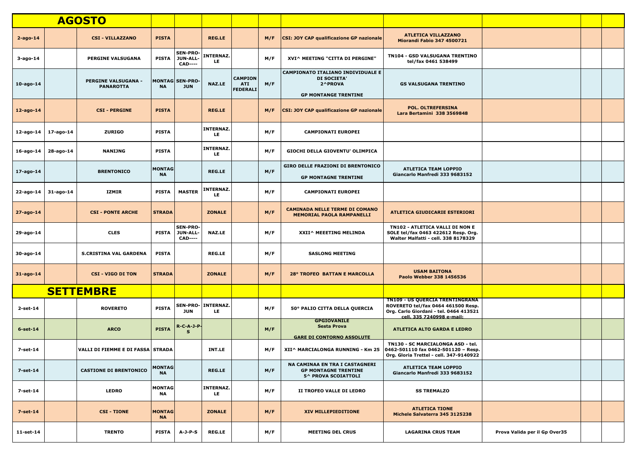|                          |           | <b>AGOSTO</b>                                  |                            |                                                      |                                  |                                                 |     |                                                                                                   |                                                                                                                                                     |                               |  |
|--------------------------|-----------|------------------------------------------------|----------------------------|------------------------------------------------------|----------------------------------|-------------------------------------------------|-----|---------------------------------------------------------------------------------------------------|-----------------------------------------------------------------------------------------------------------------------------------------------------|-------------------------------|--|
| $2 - a$ go-14            |           | <b>CSI - VILLAZZANO</b>                        | <b>PISTA</b>               |                                                      | <b>REG.LE</b>                    |                                                 | M/F | <b>CSI: JOY CAP qualificazione GP nazionale</b>                                                   | <b>ATLETICA VILLAZZANO</b><br><b>Miorandi Fabio 347 4500721</b>                                                                                     |                               |  |
| 3-ago-14                 |           | <b>PERGINE VALSUGANA</b>                       | <b>PISTA</b>               | <b>SEN-PRO-</b><br><b>JUN-ALL-</b><br><b>CAD----</b> | <b>INTERNAZ.</b><br>LE.          |                                                 | M/F | XVI^ MEETING "CITTA DI PERGINE"                                                                   | <b>TN104 - GSD VALSUGANA TRENTINO</b><br>tel/fax 0461 538499                                                                                        |                               |  |
| 10-ago-14                |           | <b>PERGINE VALSUGANA -</b><br><b>PANAROTTA</b> | <b>NA</b>                  | <b>MONTAG SEN-PRO-</b><br><b>JUN</b>                 | <b>NAZ.LE</b>                    | <b>CAMPION</b><br><b>ATI</b><br><b>FEDERALI</b> | M/F | <b>CAMPIONATO ITALIANO INDIVIDUALE E</b><br>DI SOCIETA'<br>2^PROVA<br><b>GP MONTANGE TRENTINE</b> | <b>GS VALSUGANA TRENTINO</b>                                                                                                                        |                               |  |
| $12$ -ago-14             |           | <b>CSI - PERGINE</b>                           | <b>PISTA</b>               |                                                      | <b>REG.LE</b>                    |                                                 | M/F | CSI: JOY CAP qualificazione GP nazionale                                                          | <b>POL. OLTREFERSINA</b><br>Lara Bertamini 338 3569848                                                                                              |                               |  |
| 12-ago-14   17-ago-14    |           | <b>ZURIGO</b>                                  | <b>PISTA</b>               |                                                      | <b>INTERNAZ.</b><br>LE.          |                                                 | M/F | <b>CAMPIONATI EUROPEI</b>                                                                         |                                                                                                                                                     |                               |  |
| $16$ -ago-14             | 28-ago-14 | <b>NANIJNG</b>                                 | <b>PISTA</b>               |                                                      | <b>INTERNAZ.</b><br>LE.          |                                                 | M/F | GIOCHI DELLA GIOVENTU' OLIMPICA                                                                   |                                                                                                                                                     |                               |  |
| 17-ago-14                |           | <b>BRENTONICO</b>                              | <b>MONTAG</b><br><b>NA</b> |                                                      | <b>REG.LE</b>                    |                                                 | M/F | <b>GIRO DELLE FRAZIONI DI BRENTONICO</b><br><b>GP MONTAGNE TRENTINE</b>                           | <b>ATLETICA TEAM LOPPIO</b><br>Giancarlo Manfredi 333 9683152                                                                                       |                               |  |
| $22$ -ago-14   31-ago-14 |           | IZMIR                                          | <b>PISTA</b>               | <b>MASTER</b>                                        | <b>INTERNAZ.</b><br>LE.          |                                                 | M/F | <b>CAMPIONATI EUROPEI</b>                                                                         |                                                                                                                                                     |                               |  |
| 27-ago-14                |           | <b>CSI - PONTE ARCHE</b>                       | <b>STRADA</b>              |                                                      | <b>ZONALE</b>                    |                                                 | M/F | <b>CAMINADA NELLE TERME DI COMANO</b><br><b>MEMORIAL PAOLA RAMPANELLI</b>                         | <b>ATLETICA GIUDICARIE ESTERIORI</b>                                                                                                                |                               |  |
| 29-ago-14                |           | <b>CLES</b>                                    | PISTA                      | <b>SEN-PRO-</b><br>JUN-ALL-<br><b>CAD----</b>        | <b>NAZ.LE</b>                    |                                                 | M/F | XXII^ MEEETING MELINDA                                                                            | TN102 - ATLETICA VALLI DI NON E<br>SOLE tel/fax 0463 422612 Resp. Org.<br>Walter Malfatti - cell. 338 8178329                                       |                               |  |
| 30-ago-14                |           | <b>S.CRISTINA VAL GARDENA</b>                  | <b>PISTA</b>               |                                                      | <b>REG.LE</b>                    |                                                 | M/F | <b>SASLONG MEETING</b>                                                                            |                                                                                                                                                     |                               |  |
| 31-ago-14                |           | <b>CSI - VIGO DI TON</b>                       | <b>STRADA</b>              |                                                      | <b>ZONALE</b>                    |                                                 | M/F | <b>28° TROFEO BATTAN E MARCOLLA</b>                                                               | <b>USAM BAITONA</b><br>Paolo Webber 338 1456536                                                                                                     |                               |  |
|                          |           | <b>SETTEMBRE</b>                               |                            |                                                      |                                  |                                                 |     |                                                                                                   |                                                                                                                                                     |                               |  |
| $2$ -set-14              |           | <b>ROVERETO</b>                                | <b>PISTA</b>               | <b>JUN</b>                                           | <b>SEN-PRO- INTERNAZ.</b><br>LE. |                                                 | M/F | 50° PALIO CITTA DELLA QUERCIA                                                                     | <b>TN109 - US QUERCIA TRENTINGRANA</b><br>ROVERETO tel/fax 0464 461500 Resp.<br>Org. Carlo Giordani - tel. 0464 413521<br>cell. 335 7240998 e-mail: |                               |  |
| $6$ -set-14              |           | <b>ARCO</b>                                    | <b>PISTA</b>               | <b>R-C-A-J-P-</b><br>$\mathbf{s}$                    |                                  |                                                 | M/F | <b>GPGIOVANILE</b><br><b>Sesta Prova</b><br><b>GARE DI CONTORNO ASSOLUTE</b>                      | <b>ATLETICA ALTO GARDA E LEDRO</b>                                                                                                                  |                               |  |
| 7-set-14                 |           | VALLI DI FIEMME E DI FASSA STRADA              |                            |                                                      | <b>INT.LE</b>                    |                                                 | M/F | XII^ MARCIALONGA RUNNING - Km 25                                                                  | TN130 - SC MARCIALONGA ASD - tel.<br>0462-501110 fax 0462-501120 - Resp.<br>Org. Gloria Trettel - cell. 347-9140922                                 |                               |  |
| 7-set-14                 |           | <b>CASTIONE DI BRENTONICO</b>                  | <b>MONTAG</b><br><b>NA</b> |                                                      | <b>REG.LE</b>                    |                                                 | M/F | NA CAMINAA EN TRA I CASTAGNERI<br><b>GP MONTAGNE TRENTINE</b><br>5^ PROVA SCOIATTOLI              | <b>ATLETICA TEAM LOPPIO</b><br>Giancarlo Manfredi 333 9683152                                                                                       |                               |  |
| 7-set-14                 |           | <b>LEDRO</b>                                   | <b>MONTAG</b><br>NA        |                                                      | <b>INTERNAZ.</b><br>LE.          |                                                 | M/F | II TROFEO VALLE DI LEDRO                                                                          | <b>SS TREMALZO</b>                                                                                                                                  |                               |  |
| $7-set-14$               |           | <b>CSI - TIONE</b>                             | <b>MONTAG</b><br><b>NA</b> |                                                      | <b>ZONALE</b>                    |                                                 | M/F | XIV MILLEPIEDITIONE                                                                               | <b>ATLETICA TIONE</b><br>Michele Salvaterra 345 3125238                                                                                             |                               |  |
| 11-set-14                |           | <b>TRENTO</b>                                  | <b>PISTA</b>               | $A-J-P-S$                                            | <b>REG.LE</b>                    |                                                 | M/F | <b>MEETING DEL CRUS</b>                                                                           | <b>LAGARINA CRUS TEAM</b>                                                                                                                           | Prova Valida per il Gp Over35 |  |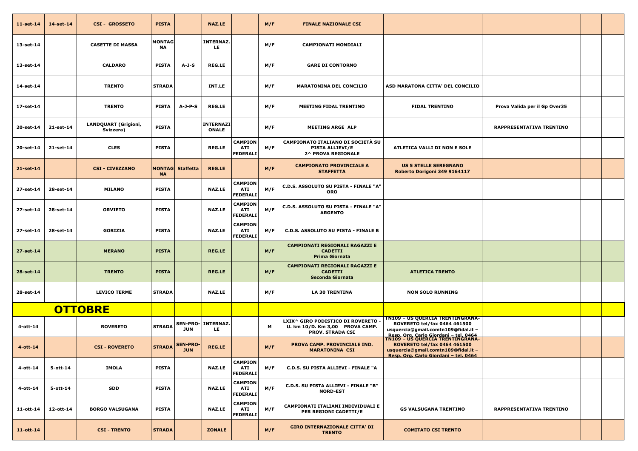| $11$ -set-14 | 14-set-14   | <b>CSI - GROSSETO</b>                    | <b>PISTA</b>               |                               | <b>NAZ.LE</b>                    |                                                 | M/F | <b>FINALE NAZIONALE CSI</b>                                                                      |                                                                                                                                                                                                  |                               |  |
|--------------|-------------|------------------------------------------|----------------------------|-------------------------------|----------------------------------|-------------------------------------------------|-----|--------------------------------------------------------------------------------------------------|--------------------------------------------------------------------------------------------------------------------------------------------------------------------------------------------------|-------------------------------|--|
| 13-set-14    |             | <b>CASETTE DI MASSA</b>                  | <b>MONTAG</b><br><b>NA</b> |                               | <b>INTERNAZ.</b><br>LE.          |                                                 | M/F | <b>CAMPIONATI MONDIALI</b>                                                                       |                                                                                                                                                                                                  |                               |  |
| 13-set-14    |             | <b>CALDARO</b>                           | <b>PISTA</b>               | $A-J-S$                       | <b>REG.LE</b>                    |                                                 | M/F | <b>GARE DI CONTORNO</b>                                                                          |                                                                                                                                                                                                  |                               |  |
| 14-set-14    |             | <b>TRENTO</b>                            | <b>STRADA</b>              |                               | INT.LE                           |                                                 | M/F | <b>MARATONINA DEL CONCILIO</b>                                                                   | ASD MARATONA CITTA' DEL CONCILIO                                                                                                                                                                 |                               |  |
| 17-set-14    |             | <b>TRENTO</b>                            | <b>PISTA</b>               | $A-J-P-S$                     | <b>REG.LE</b>                    |                                                 | M/F | <b>MEETING FIDAL TRENTINO</b>                                                                    | <b>FIDAL TRENTINO</b>                                                                                                                                                                            | Prova Valida per il Gp Over35 |  |
| 20-set-14    | 21-set-14   | <b>LANDQUART (Grigioni,</b><br>Svizzera) | <b>PISTA</b>               |                               | <b>INTERNAZI</b><br><b>ONALE</b> |                                                 | M/F | <b>MEETING ARGE ALP</b>                                                                          |                                                                                                                                                                                                  | RAPPRESENTATIVA TRENTINO      |  |
| 20-set-14    | 21-set-14   | <b>CLES</b>                              | <b>PISTA</b>               |                               | <b>REG.LE</b>                    | <b>CAMPION</b><br><b>ATI</b><br><b>FEDERALI</b> | M/F | CAMPIONATO ITALIANO DI SOCIETÀ SU<br><b>PISTA ALLIEVI/E</b><br><b>2^ PROVA REGIONALE</b>         | ATLETICA VALLI DI NON E SOLE                                                                                                                                                                     |                               |  |
| 21-set-14    |             | <b>CSI - CIVEZZANO</b>                   | <b>NA</b>                  | MONTAG  Staffetta             | <b>REG.LE</b>                    |                                                 | M/F | <b>CAMPIONATO PROVINCIALE A</b><br><b>STAFFETTA</b>                                              | <b>US 5 STELLE SEREGNANO</b><br>Roberto Dorigoni 349 9164117                                                                                                                                     |                               |  |
| 27-set-14    | 28-set-14   | <b>MILANO</b>                            | <b>PISTA</b>               |                               | <b>NAZ.LE</b>                    | <b>CAMPION</b><br><b>ATI</b><br><b>FEDERALI</b> | M/F | C.D.S. ASSOLUTO SU PISTA - FINALE "A"<br><b>ORO</b>                                              |                                                                                                                                                                                                  |                               |  |
| 27-set-14    | 28-set-14   | <b>ORVIETO</b>                           | <b>PISTA</b>               |                               | <b>NAZ.LE</b>                    | <b>CAMPION</b><br><b>ATI</b><br><b>FEDERALI</b> | M/F | C.D.S. ASSOLUTO SU PISTA - FINALE "A"<br><b>ARGENTO</b>                                          |                                                                                                                                                                                                  |                               |  |
| 27-set-14    | 28-set-14   | <b>GORIZIA</b>                           | <b>PISTA</b>               |                               | <b>NAZ.LE</b>                    | <b>CAMPION</b><br><b>ATI</b><br><b>FEDERALI</b> | M/F | <b>C.D.S. ASSOLUTO SU PISTA - FINALE B</b>                                                       |                                                                                                                                                                                                  |                               |  |
| 27-set-14    |             | <b>MERANO</b>                            | <b>PISTA</b>               |                               | <b>REG.LE</b>                    |                                                 | M/F | <b>CAMPIONATI REGIONALI RAGAZZI E</b><br><b>CADETTI</b><br><b>Prima Giornata</b>                 |                                                                                                                                                                                                  |                               |  |
| 28-set-14    |             | <b>TRENTO</b>                            | <b>PISTA</b>               |                               | <b>REG.LE</b>                    |                                                 | M/F | <b>CAMPIONATI REGIONALI RAGAZZI E</b><br><b>CADETTI</b><br>Seconda Giornata                      | <b>ATLETICA TRENTO</b>                                                                                                                                                                           |                               |  |
| 28-set-14    |             | <b>LEVICO TERME</b>                      | <b>STRADA</b>              |                               | <b>NAZ.LE</b>                    |                                                 | M/F | <b>LA 30 TRENTINA</b>                                                                            | <b>NON SOLO RUNNING</b>                                                                                                                                                                          |                               |  |
|              |             | <b>OTTOBRE</b>                           |                            |                               |                                  |                                                 |     |                                                                                                  |                                                                                                                                                                                                  |                               |  |
| 4-ott-14     |             | <b>ROVERETO</b>                          | <b>STRADA</b>              | JUN                           | <b>SEN-PRO- INTERNAZ.</b><br>LE. |                                                 | М   | LXIX^ GIRO PODISTICO DI ROVERETO ·<br>U. km 10/D. Km 3,00 PROVA CAMP.<br><b>PROV. STRADA CSI</b> | <b>TN109 - US QUERCIA TRENTINGRANA-</b><br>ROVERETO tel/fax 0464 461500<br>usquercia@gmail.comtn109@fidal.it -                                                                                   |                               |  |
| $4$ -ott-14  |             | <b>CSI - ROVERETO</b>                    | <b>STRADA</b>              | <b>SEN-PRO-</b><br><b>JUN</b> | <b>REG.LE</b>                    |                                                 | M/F | PROVA CAMP. PROVINCIALE IND.<br><b>MARATONINA CSI</b>                                            | Resp. Org. Carlo Giordani - tel. 0464<br>TN109 - US QUERCIA TRENTINGRANA-<br><b>ROVERETO tel/fax 0464 461500</b><br>usquercia@gmail.comtn109@fidal.it -<br>Resp. Org. Carlo Giordani - tel. 0464 |                               |  |
| 4-ott-14     | $5$ -ott-14 | <b>IMOLA</b>                             | <b>PISTA</b>               |                               | <b>NAZ.LE</b>                    | <b>CAMPION</b><br><b>ATI</b><br><b>FEDERALI</b> | M/F | C.D.S. SU PISTA ALLIEVI - FINALE "A                                                              |                                                                                                                                                                                                  |                               |  |
| 4-ott-14     | $5$ -ott-14 | <b>SDD</b>                               | <b>PISTA</b>               |                               | <b>NAZ.LE</b>                    | <b>CAMPION</b><br><b>ATI</b><br><b>FEDERALI</b> | M/F | C.D.S. SU PISTA ALLIEVI - FINALE "B"<br><b>NORD-EST</b>                                          |                                                                                                                                                                                                  |                               |  |
| 11-ott-14    | 12-ott-14   | <b>BORGO VALSUGANA</b>                   | <b>PISTA</b>               |                               | <b>NAZ.LE</b>                    | <b>CAMPION</b><br><b>ATI</b><br><b>FEDERALI</b> | M/F | CAMPIONATI ITALIANI INDIVIDUALI E<br>PER REGIONI CADETTI/E                                       | <b>GS VALSUGANA TRENTINO</b>                                                                                                                                                                     | RAPPRESENTATIVA TRENTINO      |  |
| $11$ -ott-14 |             | <b>CSI - TRENTO</b>                      | <b>STRADA</b>              |                               | <b>ZONALE</b>                    |                                                 | M/F | <b>GIRO INTERNAZIONALE CITTA' DI</b><br><b>TRENTO</b>                                            | <b>COMITATO CSI TRENTO</b>                                                                                                                                                                       |                               |  |